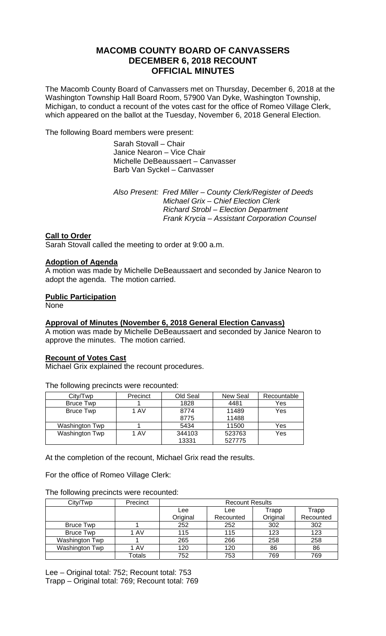# **MACOMB COUNTY BOARD OF CANVASSERS DECEMBER 6, 2018 RECOUNT OFFICIAL MINUTES**

The Macomb County Board of Canvassers met on Thursday, December 6, 2018 at the Washington Township Hall Board Room, 57900 Van Dyke, Washington Township, Michigan, to conduct a recount of the votes cast for the office of Romeo Village Clerk, which appeared on the ballot at the Tuesday, November 6, 2018 General Election.

The following Board members were present:

 Sarah Stovall – Chair Janice Nearon – Vice Chair Michelle DeBeaussaert – Canvasser Barb Van Syckel – Canvasser

 *Also Present: Fred Miller – County Clerk/Register of Deeds Michael Grix – Chief Election Clerk Richard Strobl – Election Department Frank Krycia – Assistant Corporation Counsel* 

## **Call to Order**

Sarah Stovall called the meeting to order at 9:00 a.m.

### **Adoption of Agenda**

A motion was made by Michelle DeBeaussaert and seconded by Janice Nearon to adopt the agenda. The motion carried.

## **Public Participation**

None

## **Approval of Minutes (November 6, 2018 General Election Canvass)**

A motion was made by Michelle DeBeaussaert and seconded by Janice Nearon to approve the minutes. The motion carried.

#### **Recount of Votes Cast**

Michael Grix explained the recount procedures.

The following precincts were recounted:

| City/Twp         | Precinct | Old Seal | New Seal | Recountable |
|------------------|----------|----------|----------|-------------|
| Bruce Twp        |          | 1828     | 4481     | Yes         |
| <b>Bruce Twp</b> | 1 AV     | 8774     | 11489    | Yes         |
|                  |          | 8775     | 11488    |             |
| Washington Twp   |          | 5434     | 11500    | Yes         |
| Washington Twp   | 1 AV     | 344103   | 523763   | Yes         |
|                  |          | 13331    | 527775   |             |

At the completion of the recount, Michael Grix read the results.

For the office of Romeo Village Clerk:

### The following precincts were recounted:

| City/Twp         | Precinct | <b>Recount Results</b> |           |          |           |  |
|------------------|----------|------------------------|-----------|----------|-----------|--|
|                  |          | Lee                    | Lee       | Trapp    | Trapp     |  |
|                  |          | Original               | Recounted | Original | Recounted |  |
| <b>Bruce Twp</b> |          | 252                    | 252       | 302      | 302       |  |
| <b>Bruce Twp</b> | 1 AV     | 115                    | 115       | 123      | 123       |  |
| Washington Twp   |          | 265                    | 266       | 258      | 258       |  |
| Washington Twp   | 1 AV     | 120                    | 120       | 86       | 86        |  |
|                  | Totals   | 752                    | 753       | 769      | 769       |  |

Lee – Original total: 752; Recount total: 753 Trapp – Original total: 769; Recount total: 769